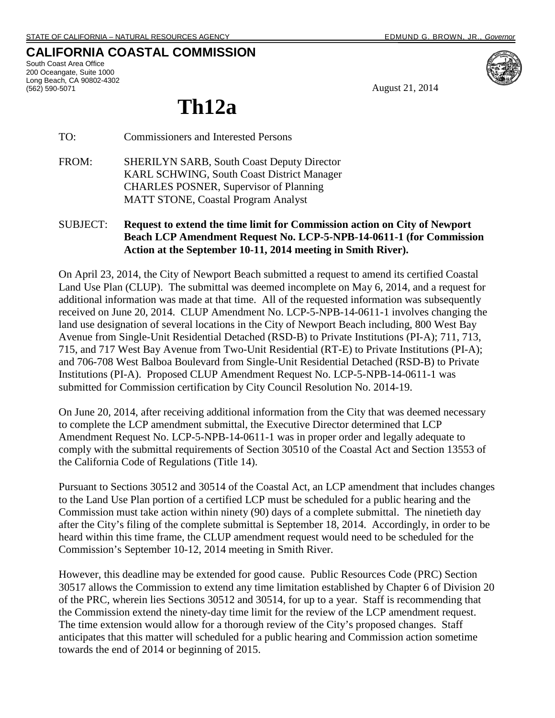## **CALIFORNIA COASTAL COMMISSION**

South Coast Area Office 200 Oceangate, Suite 1000 Long Beach, CA 90802-4302 (562) 590-5071



August 21, 2014

## **Th12a**

TO: Commissioners and Interested Persons

- FROM: SHERILYN SARB, South Coast Deputy Director KARL SCHWING, South Coast District Manager CHARLES POSNER, Supervisor of Planning MATT STONE, Coastal Program Analyst
- SUBJECT: **Request to extend the time limit for Commission action on City of Newport Beach LCP Amendment Request No. LCP-5-NPB-14-0611-1 (for Commission Action at the September 10-11, 2014 meeting in Smith River).**

On April 23, 2014, the City of Newport Beach submitted a request to amend its certified Coastal Land Use Plan (CLUP). The submittal was deemed incomplete on May 6, 2014, and a request for additional information was made at that time. All of the requested information was subsequently received on June 20, 2014. CLUP Amendment No. LCP-5-NPB-14-0611-1 involves changing the land use designation of several locations in the City of Newport Beach including, 800 West Bay Avenue from Single-Unit Residential Detached (RSD-B) to Private Institutions (PI-A); 711, 713, 715, and 717 West Bay Avenue from Two-Unit Residential (RT-E) to Private Institutions (PI-A); and 706-708 West Balboa Boulevard from Single-Unit Residential Detached (RSD-B) to Private Institutions (PI-A). Proposed CLUP Amendment Request No. LCP-5-NPB-14-0611-1 was submitted for Commission certification by City Council Resolution No. 2014-19.

On June 20, 2014, after receiving additional information from the City that was deemed necessary to complete the LCP amendment submittal, the Executive Director determined that LCP Amendment Request No. LCP-5-NPB-14-0611-1 was in proper order and legally adequate to comply with the submittal requirements of Section 30510 of the Coastal Act and Section 13553 of the California Code of Regulations (Title 14).

Pursuant to Sections 30512 and 30514 of the Coastal Act, an LCP amendment that includes changes to the Land Use Plan portion of a certified LCP must be scheduled for a public hearing and the Commission must take action within ninety (90) days of a complete submittal. The ninetieth day after the City's filing of the complete submittal is September 18, 2014. Accordingly, in order to be heard within this time frame, the CLUP amendment request would need to be scheduled for the Commission's September 10-12, 2014 meeting in Smith River.

However, this deadline may be extended for good cause. Public Resources Code (PRC) Section 30517 allows the Commission to extend any time limitation established by Chapter 6 of Division 20 of the PRC, wherein lies Sections 30512 and 30514, for up to a year. Staff is recommending that the Commission extend the ninety-day time limit for the review of the LCP amendment request. The time extension would allow for a thorough review of the City's proposed changes. Staff anticipates that this matter will scheduled for a public hearing and Commission action sometime towards the end of 2014 or beginning of 2015.